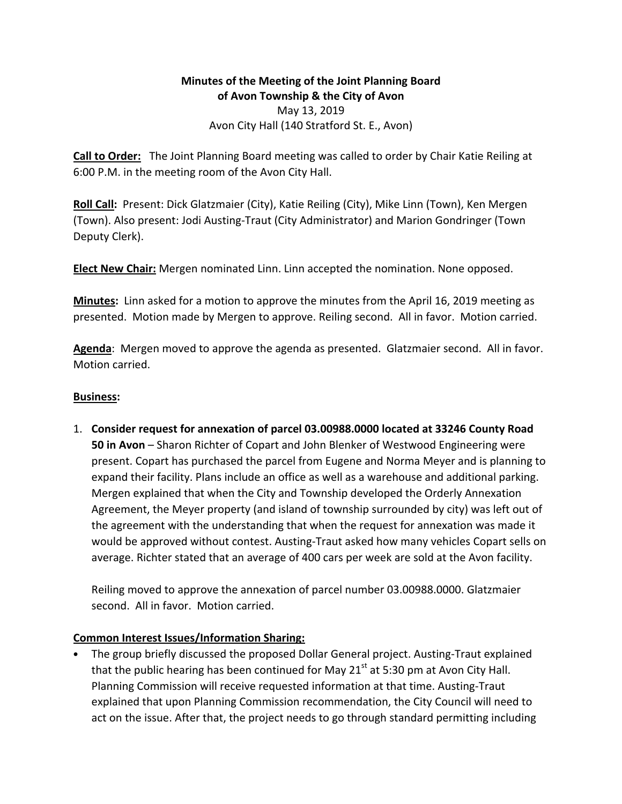## **Minutes of the Meeting of the Joint Planning Board** of Avon Township & the City of Avon May 13, 2019 Avon City Hall (140 Stratford St. E., Avon)

**Call to Order:** The Joint Planning Board meeting was called to order by Chair Katie Reiling at 6:00 P.M. in the meeting room of the Avon City Hall.

**Roll Call:** Present: Dick Glatzmaier (City), Katie Reiling (City), Mike Linn (Town), Ken Mergen (Town). Also present: Jodi Austing-Traut (City Administrator) and Marion Gondringer (Town Deputy Clerk).

**Elect New Chair:** Mergen nominated Linn. Linn accepted the nomination. None opposed.

**Minutes:** Linn asked for a motion to approve the minutes from the April 16, 2019 meeting as presented. Motion made by Mergen to approve. Reiling second. All in favor. Motion carried.

**Agenda**: Mergen moved to approve the agenda as presented. Glatzmaier second. All in favor. Motion carried.

## **Business:**

1. Consider request for annexation of parcel 03.00988.0000 located at 33246 County Road **50 in Avon** – Sharon Richter of Copart and John Blenker of Westwood Engineering were present. Copart has purchased the parcel from Eugene and Norma Meyer and is planning to expand their facility. Plans include an office as well as a warehouse and additional parking. Mergen explained that when the City and Township developed the Orderly Annexation Agreement, the Meyer property (and island of township surrounded by city) was left out of the agreement with the understanding that when the request for annexation was made it would be approved without contest. Austing-Traut asked how many vehicles Copart sells on average. Richter stated that an average of 400 cars per week are sold at the Avon facility.

Reiling moved to approve the annexation of parcel number 03.00988.0000. Glatzmaier second. All in favor. Motion carried.

## **Common Interest Issues/Information Sharing:**

The group briefly discussed the proposed Dollar General project. Austing-Traut explained that the public hearing has been continued for May 21 $^{\text{st}}$  at 5:30 pm at Avon City Hall. Planning Commission will receive requested information at that time. Austing-Traut explained that upon Planning Commission recommendation, the City Council will need to act on the issue. After that, the project needs to go through standard permitting including